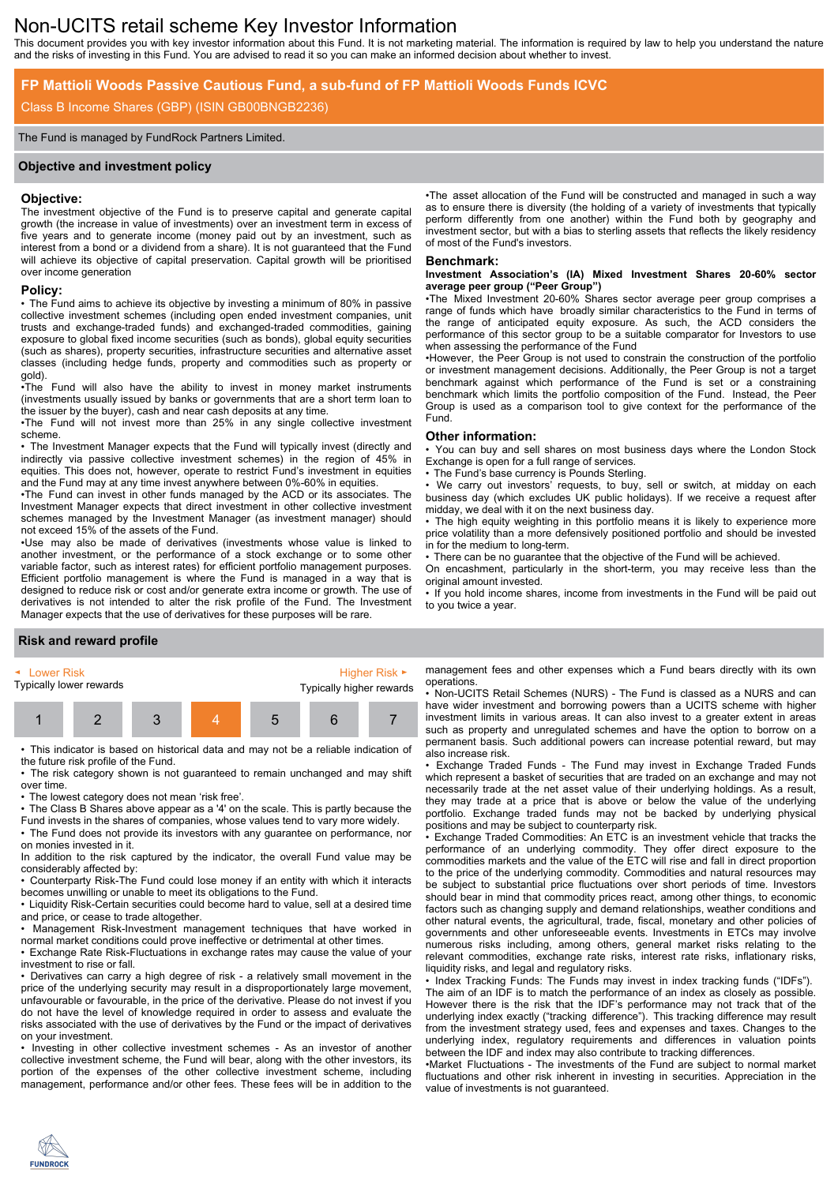# Non-UCITS retail scheme Key Investor Information

This document provides you with key investor information about this Fund. It is not marketing material. The information is required by law to help you understand the nature and the risks of investing in this Fund. You are advised to read it so you can make an informed decision about whether to invest.

# **FP Mattioli Woods Passive Cautious Fund, a sub-fund of FP Mattioli Woods Funds ICVC**

### Class B Income Shares (GBP) (ISIN GB00BNGB2236)

#### The Fund is managed by FundRock Partners Limited.

#### **Objective and investment policy**

#### **Objective:**

The investment objective of the Fund is to preserve capital and generate capital growth (the increase in value of investments) over an investment term in excess of five years and to generate income (money paid out by an investment, such as interest from a bond or a dividend from a share). It is not guaranteed that the Fund will achieve its objective of capital preservation. Capital growth will be prioritised over income generation

# **Policy:**

• The Fund aims to achieve its objective by investing a minimum of 80% in passive collective investment schemes (including open ended investment companies, unit trusts and exchange-traded funds) and exchanged-traded commodities, gaining exposure to global fixed income securities (such as bonds), global equity securities (such as shares), property securities, infrastructure securities and alternative asset classes (including hedge funds, property and commodities such as property or gold).

•The Fund will also have the ability to invest in money market instruments (investments usually issued by banks or governments that are a short term loan to the issuer by the buyer), cash and near cash deposits at any time.

•The Fund will not invest more than 25% in any single collective investment scheme.

• The Investment Manager expects that the Fund will typically invest (directly and indirectly via passive collective investment schemes) in the region of 45% in equities. This does not, however, operate to restrict Fund's investment in equities and the Fund may at any time invest anywhere between 0%-60% in equities.

•The Fund can invest in other funds managed by the ACD or its associates. The Investment Manager expects that direct investment in other collective investment schemes managed by the Investment Manager (as investment manager) should not exceed 15% of the assets of the Fund.

•Use may also be made of derivatives (investments whose value is linked to another investment, or the performance of a stock exchange or to some other variable factor, such as interest rates) for efficient portfolio management purposes. Efficient portfolio management is where the Fund is managed in a way that is designed to reduce risk or cost and/or generate extra income or growth. The use of derivatives is not intended to alter the risk profile of the Fund. The Investment Manager expects that the use of derivatives for these purposes will be rare.

•The asset allocation of the Fund will be constructed and managed in such a way as to ensure there is diversity (the holding of a variety of investments that typically perform differently from one another) within the Fund both by geography and investment sector, but with a bias to sterling assets that reflects the likely residency of most of the Fund's investors.

#### **Benchmark:**

#### **Investment Association's (IA) Mixed Investment Shares 20-60% sector average peer group ("Peer Group")**

•The Mixed Investment 20-60% Shares sector average peer group comprises a range of funds which have broadly similar characteristics to the Fund in terms of the range of anticipated equity exposure. As such, the ACD considers the performance of this sector group to be a suitable comparator for Investors to use when assessing the performance of the Fund

•However, the Peer Group is not used to constrain the construction of the portfolio or investment management decisions. Additionally, the Peer Group is not a target benchmark against which performance of the Fund is set or a constraining benchmark which limits the portfolio composition of the Fund. Instead, the Peer Group is used as a comparison tool to give context for the performance of the Fund.

#### **Other information:**

• You can buy and sell shares on most business days where the London Stock Exchange is open for a full range of services.

The Fund's base currency is Pounds Sterling.

We carry out investors' requests, to buy, sell or switch, at midday on each business day (which excludes UK public holidays). If we receive a request after midday, we deal with it on the next business day.

The high equity weighting in this portfolio means it is likely to experience more price volatility than a more defensively positioned portfolio and should be invested in for the medium to long-term.

• There can be no guarantee that the objective of the Fund will be achieved.

On encashment, particularly in the short-term, you may receive less than the original amount invested.

• If you hold income shares, income from investments in the Fund will be paid out to you twice a year.

# **Risk and reward profile**



• This indicator is based on historical data and may not be a reliable indication of the future risk profile of the Fund.

• The risk category shown is not guaranteed to remain unchanged and may shift over time.

• The lowest category does not mean 'risk free'.

• The Class B Shares above appear as a '4' on the scale. This is partly because the Fund invests in the shares of companies, whose values tend to vary more widely.

• The Fund does not provide its investors with any guarantee on performance, nor on monies invested in it.

In addition to the risk captured by the indicator, the overall Fund value may be considerably affected by:

• Counterparty Risk-The Fund could lose money if an entity with which it interacts becomes unwilling or unable to meet its obligations to the Fund.

• Liquidity Risk-Certain securities could become hard to value, sell at a desired time and price, or cease to trade altogether.

• Management Risk-Investment management techniques that have worked in normal market conditions could prove ineffective or detrimental at other times.

• Exchange Rate Risk-Fluctuations in exchange rates may cause the value of your investment to rise or fall.

• Derivatives can carry a high degree of risk - a relatively small movement in the price of the underlying security may result in a disproportionately large movement, unfavourable or favourable, in the price of the derivative. Please do not invest if you do not have the level of knowledge required in order to assess and evaluate the risks associated with the use of derivatives by the Fund or the impact of derivatives on your investment.

• Investing in other collective investment schemes - As an investor of another collective investment scheme, the Fund will bear, along with the other investors, its portion of the expenses of the other collective investment scheme, including management, performance and/or other fees. These fees will be in addition to the

management fees and other expenses which a Fund bears directly with its own operations.

• Non-UCITS Retail Schemes (NURS) - The Fund is classed as a NURS and can have wider investment and borrowing powers than a UCITS scheme with higher investment limits in various areas. It can also invest to a greater extent in areas such as property and unregulated schemes and have the option to borrow on a permanent basis. Such additional powers can increase potential reward, but may also increase risk.

• Exchange Traded Funds - The Fund may invest in Exchange Traded Funds which represent a basket of securities that are traded on an exchange and may not necessarily trade at the net asset value of their underlying holdings. As a result, they may trade at a price that is above or below the value of the underlying portfolio. Exchange traded funds may not be backed by underlying physical positions and may be subject to counterparty risk.

• Exchange Traded Commodities: An ETC is an investment vehicle that tracks the performance of an underlying commodity. They offer direct exposure to the commodities markets and the value of the ETC will rise and fall in direct proportion to the price of the underlying commodity. Commodities and natural resources may be subject to substantial price fluctuations over short periods of time. Investors should bear in mind that commodity prices react, among other things, to economic factors such as changing supply and demand relationships, weather conditions and other natural events, the agricultural, trade, fiscal, monetary and other policies of governments and other unforeseeable events. Investments in ETCs may involve numerous risks including, among others, general market risks relating to the relevant commodities, exchange rate risks, interest rate risks, inflationary risks, liquidity risks, and legal and regulatory risks.

• Index Tracking Funds: The Funds may invest in index tracking funds ("IDFs"). The aim of an IDF is to match the performance of an index as closely as possible. However there is the risk that the IDF's performance may not track that of the underlying index exactly ("tracking difference"). This tracking difference may result from the investment strategy used, fees and expenses and taxes. Changes to the underlying index, regulatory requirements and differences in valuation points between the IDF and index may also contribute to tracking differences.

•Market Fluctuations - The investments of the Fund are subject to normal market fluctuations and other risk inherent in investing in securities. Appreciation in the value of investments is not guaranteed.